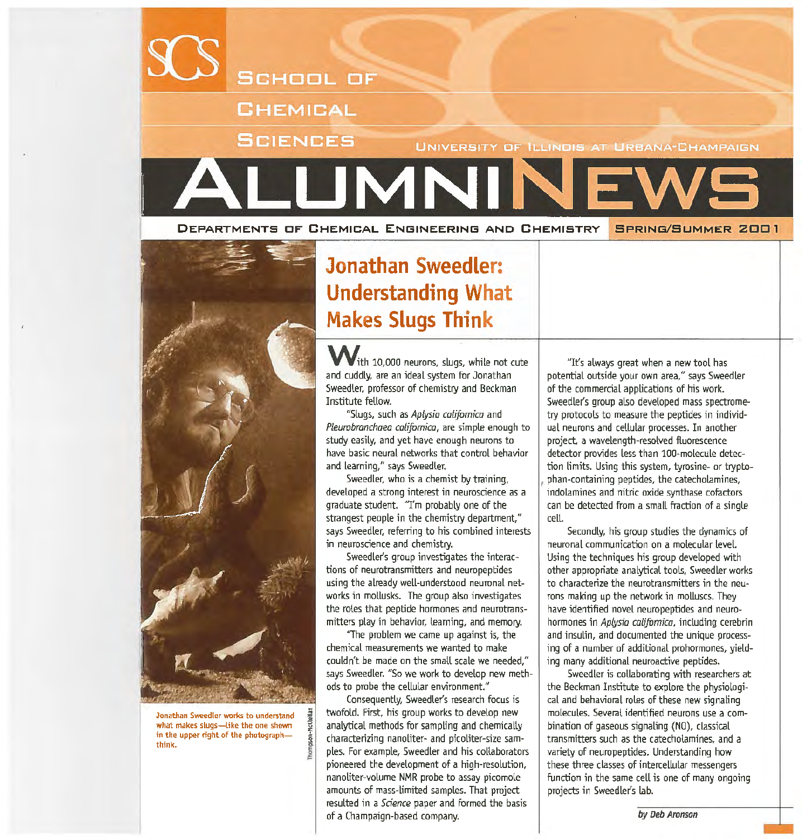

DEPARTMENTS OF' CHEMICAL ENGINEERING ANO CHEMISTRY **SPRING/SUMMER 200 1** 



Jonathan Sweedler works to understand what makes slugs-like the one shown in the upper right of the photographthink.

## **Jonathan Sweedler: Understanding What Makes Slugs Think**

 $\mathsf{V}_{\text{ith}}$  10,000 neurons, slugs, while not cute and cuddly, are an ideal system for Jonathan Sweedler, professor of chemistry and Beckman Institute fellow.

"Slugs, such as Aplysia californica and Pleurobranchaea californica, are simple enough to study easily, and yet have enough neurons to have basic neural networks that control behavior and learning," says Sweedler.

Sweedler, who is a chemist by training, developed a strong interest in neuroscience as a graduate student. '1'm probably one of the strangest people in the chemistry department," says Sweedler, referring to his combined interests in neuroscience and chemistry.

Sweedler's group investigates the interactions of neurotransmitters and neuropeptides using the already well-understood neuronal networks in mollusks. The group also investigates the roles that peptide hormones and neurotransmitters play in behavior, learning, and memory.

"The problem we came up against is, the chemical measurements we wanted to make couldn't he made on the small scale we needed," says Sweedler. "So we work to develop new methods to probe the cellular environment."

Consequently, Sweedler's research focus is twofold. First, his group works to develop new analytical methods for sampling and chemically characterizing nanoliter- and picoliter-size samples. For example, Sweedler and his collaborators pioneered the development of a high-resolution, nanoliter-volume NMR probe to assay picomole amounts of mass-limited samples. That project resulted in a Science paper and formed the basis of a Champaign-based company.

"It's always great when a new tool has potential outside your own area," says Sweedler of the commercial applications of his work. Sweedler's group also developed mass spectrometry protocols to measure the peptides in individual neurons and cellular processes. In another project, a wavelength-resolved fluorescence detector provides less than 100-molecule detection limits. Using this system, tyrosine- or trypto-<sup>1</sup>phan-containing peptides, the catecholamines, indolamines and nitric oxide synthase cofactors can be detected from a small fraction of a single celt.

Secondly, his group studies the dynamics of neuronal communication on a molecular level. Using the techniques his group developed with other appropriate analytical tools, Sweedler works to characterize the neurotransmitters in the neurons making up the network in molluscs. They have identified novel neuropeptides and neurohormones in Aplysia califomica, including cerebrin and insulin, and documented the unique processing of a number of additional prohormones, yielding many additional neuroactive peptides.

Sweedler is collaborating with researchers at the Beckman Institute to explore the physiological and behavioral roles of these new signaling molecules. Several identified neurons use a combination of gaseous signaling (NO), classical transmitters such as the catecholamines, and a variety of neuropeptides. Understanding how these three classes of intercellular messengers function in the same cell is one of many ongoing projects in Sweedler's lab.

by Deb Aronson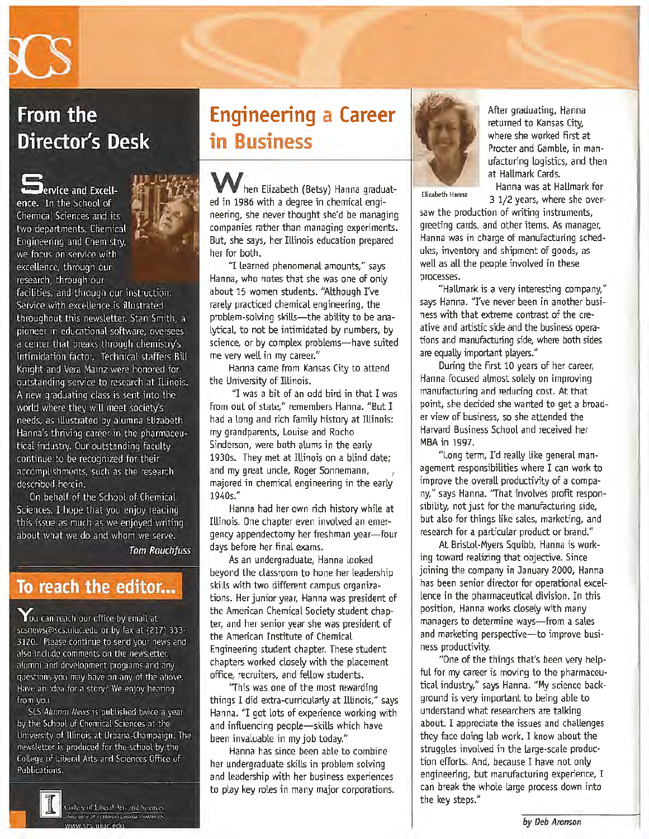

### From the **Director's Desk**

**Jervice and Excell**ence. In the School of Chemical Sciences and its two departments. Chemical Engineering and Chemistry, we focus on service with excellence, through our research, through our

facilities, and through our instruction. Service with excellence is illustrated throughout this newsletter. Stan Smith, a pioneer in educational software, oversees a center that breaks through chemistry's intimidation factor. Technical staffers Bill Knight and Vera Mainz were honored for outstanding service to research at Illinois. A new graduating class is sent into the world where they will meet society's needs, as illustrated by alumna Elizabeth Hanna's thriving career in the pharmaceutical industry. Our outstanding faculty continue to be recognized for their accomplishments, such as the research described herein.

On behalf of the School of Chemical Sciences, I hope that you enjoy reading this issue as much as we enjoyed writing about what we do and whom we serve.

**Tom Rauchfuss** 

### To reach the editor...

You can reach our office by email at scsnews@scs.uiuc.edu or by fax at (217) 333-3120. Please continue to send your news and also include comments on the newsletter. alumni and development programs and any questions you may have on any of the above. Have an idea for a story? We enjoy hearing from you.

SCS Alumni News is published twice a year by the School of Chemical Sciences at the University of Illinois at Urbana-Champaign. The newsletter is produced for the school by the College of Liberal Arts and Sciences Office of Publications.



College of Liberal Arts and Sciences Non-killed by the charge and more can introduce a

## **Engineering a Career in Business**

hen Elizabeth (Betsy) Hanna graduated in 1986 with a degree in chemical engineering, she never thought she'd be managing companies rather than managing experiments. But, she says, her Illinois education prepared her for both.

"I learned phenomenal amounts," says Hanna, who notes that she was one of only about 15 women students. "Although I've rarely practiced chemical engineering, the problem-solving skills-the ability to be analytical, to not be intimidated by numbers, by science, or by complex problems-have suited me very well in my career."

Hanna came from Kansas City to attend the University of Illinois.

"I was a bit of an odd bird in that I was from out of state," remembers Hanna. "But I had a tong and rich family history at Illinois: my grandparents, Louise and Rocho Sinderson, were both alums in the early 1930s. They met at Illinois on a blind date; and my great uncle, Roger Sonnemann, majored in chemical engineering in the early 1940s."

Hanna had her own rich history while at Illinois. One chapter even involved an emergency appendectomy her freshman year-four days before her final exams.

As an undergraduate, Hanna looked beyond the classroom to hone her leadership skills with two different campus organizations. Her junior year, Hanna was president of the American Chemical Society student chapter, and her senior year she was president of the American Institute of Chemical Engineering student chapter. These student chapters worked closely with the placement office, recruiters, and fellow students.

'This was one of the most rewarding things I did extra-curricularly at Illinois," says Hanna. "I got lots of experience working with and influencing people-skills which have been invaluable in my job today."

Hanna has since been able to combine her undergraduate skills in problem solving and leadership with her business experiences to play key roles in many major corporations.



After graduating, Hanna returned to Kansas City, where she worked first at Procter and Gamble, in manufacturing logistics, and then at Hallmark Cards.

Hanna was at Hallmark for Elizabeth Hanna 3 1/2 years, where she over-

saw the production of writing instruments, greeting cards, and other items. As manager, Hanna was in charge of manufacturing schedules, inventory and shipment of goods, as well as all the peopte involved in these processes.

"Hallmark is a very interesting company," says Hanna. *"I've* never been in another business with that extreme contrast of the creative and artistic side and the business operations and manufacturing side, where both sides are equally important players."

During the first 10 years of her career, Hanna focused almost solely on improving manufacturing and reducing cost. At that point, she decided she wanted to get a broader view of business, so she attended the Harvard Business School and received her MBA in 1997.

"Long term, I'd really like general management responsibilities where I can work to improve the overall productivity of a company," says Hanna. 'That involves profit responsibility, not just for the manufacturing side, but also for things like sales, marketing, and research for a particular product or brand."

At Bristol-Myers Squibb, Hanna is working toward realizing that objective. Since joining the company in January 2000, Hanna has been senior director for operational excellence in the pharmaceutical division. In this position, Hanna works closely with many managers to determine ways-from a sales and marketing perspective-to improve business productivity.

"One of the things that's been very helpful for my career is moving to the pharmaceutical industry," says Hanna. "My science background is very important to being able to understand what researchers are talking about. I appreciate the issues and challenges they face doing lab work. I know about the struggles involved in the large-scale production efforts. And, because I have not only engineering, but manufacturing experience, I can break the whole large process down into the key steps."

by Deb Aronson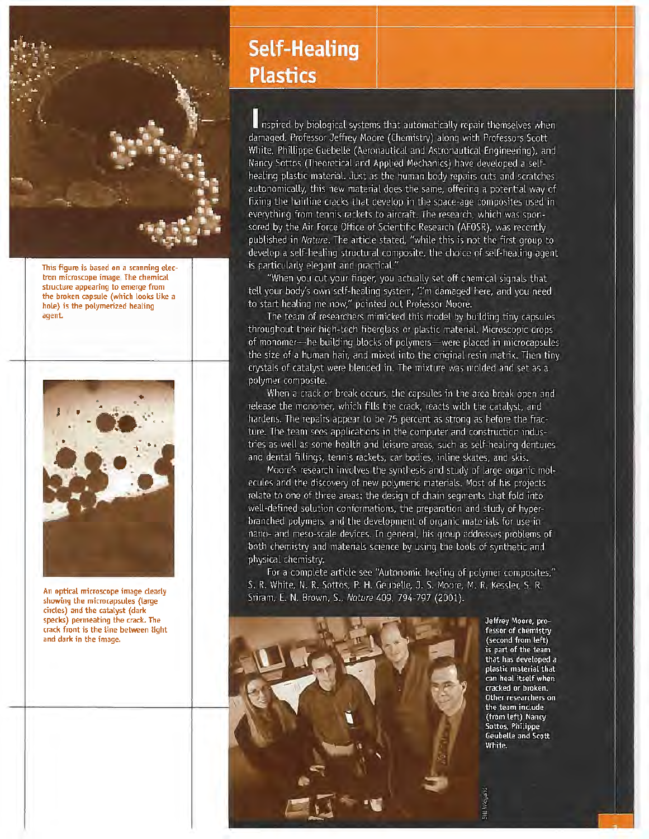

This figure is based on a scanning electron microscope image. The chemical structure appearing *to* emerge from the broken capsule (which looks like a hole} is the polymerized healing agent



An optical microscope image dearly showing the microcapsules (large circles) and the catalyst (dark specks) permeating the crack. The crack front is the tine between tight and dark in the image.

### **Self-Healing Plastics**

nspired by biological systems that automatically repair themselves when damaged, Professor Jeffrey Moore (Chemistry) along with Professors Scott White, Phillippe Guebelle (Aeronautical and Astronautical Engineering), and Nancy Sottos (Theoretical and Applied Mechanics) have developed a selfhealing plastic material. Just as the human body repairs cuts and scratches autonomically, this new material does the same, offering a potential way of fixing the hairline cracks that develop in the space-age composites used in everything from tennis rackets to aircraft. The research, which was sponsored by the Air Force Office of Scientific Research (AFOSR), was recently published in Nature. The article stated, "while this is not the first group to develop a self-healing structural composite, the choice of self-healing agent is particularly elegant and practical."

"When you cut your finger, you actually set off chemical signals that tell your body's own self-healing system, 'I'm damaged here, and you need to start healing me now," pointed out Professor Moore.

The team of researchers mimicked this model by building tiny capsules throughout their high-tech fiberglass or plastic material. Microscopic drops of monomer-he building blocks of polymers-were placed in microcapsules the size of a human hair, and mixed into the original resin matrix. Then tiny crystals of catalyst were blended in. The mixture was molded and set as a polymer composite.

When a crack or break occurs, the capsules in the area break open and release the monomer, which fills the crack, reacts with the catalyst, and hardens. The repairs appear to be 75 percent as strong as before the fracture. The team sees applications in the computer and construction industries as well as some health and leisure areas, such as self-healing dentures and dental fillings, tennis rackets, car bodies, inline skates, and skis.

Moore's research involves the synthesis and study of large organic molecules and the discovery of new polymeric materials. Most of his projects relate to one of three areas: the design of chain segments that fold into well-defined solution conformations, the preparation and study of hyperbranched polymers, and the development of organic materials for use in nano- and meso-scale devices. In general, his group addresses problems of both chemistry and materials science by using the tools of synthetic and physical chemistry.

For a complete article see "Autonomic healing of polymer composites," S. R. White, N. R. Sottos, P. H. Geubelle, J. S. Moore, M. R. Kessler, S. R. Sriram, E. N. Brown, S., Nature 409, 794-797 (2001).



Jeffrey Moore, professor of chemistry (second from left) is part of the team that has developed a plastic material that can heal itself when cracked or broken. Other researchers on the team include (from left) Nancy Sottos, Philippe **Geubelle and Scott** White.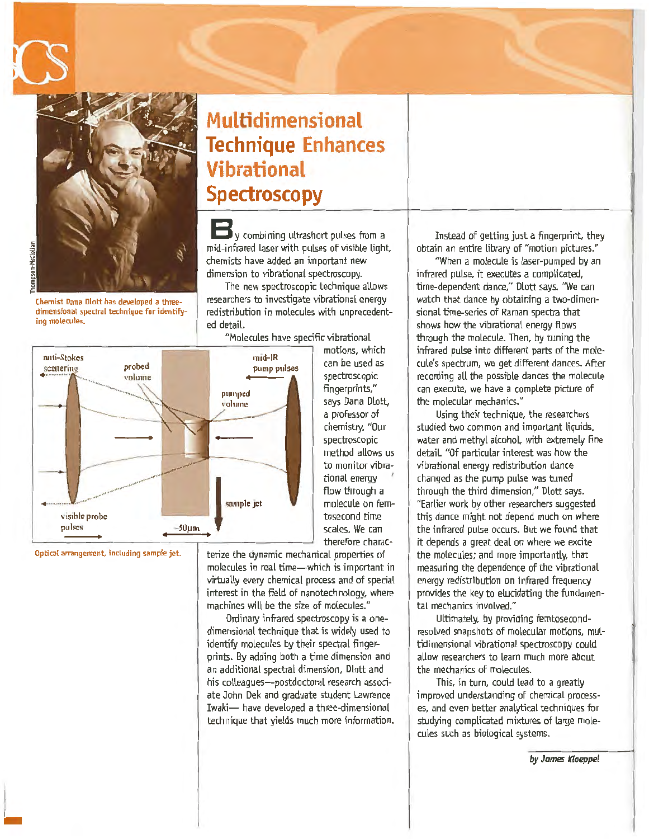

 $\overline{\phantom{a}}$ 

Chemist Dana Dlott has developed a threedimensional spectral technique for identifying molecules.

#### anti-Stokes nud-IR probed scattering pump pulses volume pumped volume **l** sample jet visible probe pulses  $-50 \mu m$

Optical arrangement, including sample jet.

**Multidimensional Technique Enhances Vibrational Spectroscopy** 

**V** combining ultrashort pulses from a mid-infrared laser with pulses of visible Light, chemists have added an important new dimension to vibrational spectroscopy.

The new spectroscopic technique allows researchers to investigate vibrational energy redistribution in molecules with unprecedented detaiL

"Molecules have specific vibrational

motions, which can be used as spectroscopic fingerprints," says Dana Dlott, a professor of chemistry. "Our spectroscopic method allows us to monitor vibrational energy flow through a molecule on femtosecond time scales. We can therefore charac-

terize the dynamic mechanical properties of molecules in real time-which is important in virtually *every* chemical process and of special interest in the field of nanotechnology, where machines will be the size of molecules."

Ordinary infrared spectroscopy is a onedimensional technique that is widely used to identify molecules by their spectral fingerprints. By adding both a time dimension and an additional spectral dimension. Dlott and his colleagues-postdoctoral research associate John Dek and graduate student lawrence Iwaki- have developed a three-dimensional technique that yields much more information.

Instead of getting just a fingerprint, they obtain an entire library of "motion pictures."

"When a molecule is laser-pumped by an infrared pulse, it executes a complicated, time-dependent dance," Dlott says. "We can watch that dance by obtaining a two-dimensional time-series of Raman spectra that shows how the vibrational energy flows through the molecule. Then, by tuning the infrared pulse into different parts of the molecule's spectrum, we get different dances. After recording all the possible dances the molecule can execute, we have a complete picture of the molecular mechanics."

Using their technique, the researchers studied two common and important liquids, water and methyl alcohol, with extremely fine detaiL "Of particular interest was how the vibrational energy redistribution dance changed as the pump pulse was tuned through the third dimension," Dlott says. "Earlier work by other researchers suggested this dance might not depend much on where the infrared pulse occurs. But we found that it depends a great deal on where we excite the molecules; and more importantly, that measuring the dependence of the vibrational energy redistribution on infrared frequency provides the key to elucidating the fundamental mechanics involved."

Ultimately, by providing femtosecondresolved snapshots of molecular motions, multidimensional vibrational spectroscopy could aUow researchers to learn much more about the mechanics of molecules.

This, in turn, could lead to a greatly improved understanding of chemical processes, and *even* better analytical techniques for studying complicated mixtures of large molecules such as biological systems.

by James Kloeppel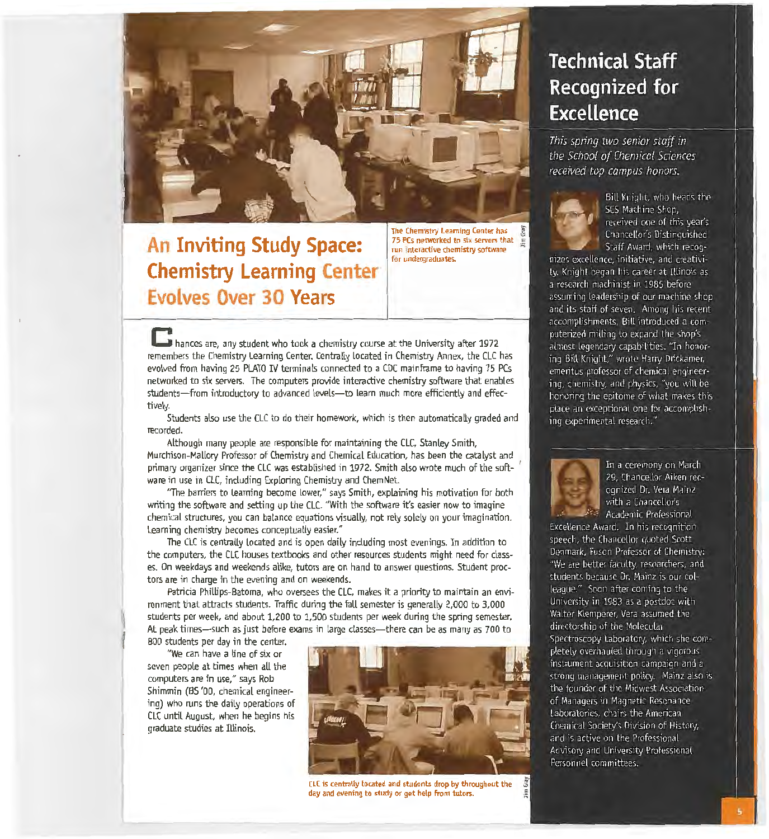

### **An Inviting Study Space: Chemistry Learning Center Evolves Over 30 Years**

The Chemistry learning Center has 75 PCs networked to six servers that run interactive chemistry software for undergraduates.

**C** hances are, any student who took a chemistry course at the University after 1972 remembers the Chemistry Learning Center. Centrally located in Chemistry Annex, the CLC has evolved from having 25 PlATO IV terminals connected to a CDC mainframe to having 75 PCs networked to six servers. The computers provide interactive chemistry software that enables students-from introductory to advanced levels-to learn much more efficiently and effectively.

Students also use the CLC to do their homework, which is then automatically graded and recorded.

Although many people are responsible for maintaining the CLC, Stanley Smith, Murchison-Mallory Professor of Chemistry and Chemical Education, has been the catalyst and primary organizer since the CLC was established in 1972. Smith also wrote much of the soft- <sup>1</sup> ware in use in CLC, including Exploring Chemistry and ChemNet.

"The barriers to learning become lower," says Smith, explaining his motivation for both writing the software and setting up the CLC. "With the software it's easier now to imagine chemical structures, you can balance equations visually, not rely solely on your imagination. Learning chemistry becomes conceptually easier."

The CLC is centrally located and is open daily including most evenings. In addition to the computers, the CLC houses textbooks and other resources students might need for classes. On weekdays and weekends alike, tutors are on hand to answer questions. Student proctors are in charge in the evening and on weekends.

Patricia Phillips-Batoma, who oversees the CLC, makes it a priority to maintain an environment that attracts students. Traffic during the fall semester is generally 2,000 to 3,000 students per week, and about 1,200 to 1,500 students per week during the spring semester. At peak times-such as just before exams in large classes-there can be as many as 700 to 800 students per day in the center.

"We can have a line of six or seven people at times when all the computers are in use," says Rob Shimmin (BS '00, chemical engineering) who runs the daily operations of CLC until August, when he begins his graduate studies at Illinois.



CLC is centrally located and students drop by throughout the day and evening to study or get help from tutors.

### **Technical Staff Recognized for Excellence**

This spring two senior staff in the School of Chemical Sciences received top campus honors.



Bill Knight, who heads the SCS Machine Shop. received one of this year's Chancellor's Distinguished Staff Award, which recog-

nizes excellence, initiative, and creativity. Knight began his career at Illinois as a research machinist in 1985 before assuming leadership of our machine shop and its staff of seven. Among his recent accomplishments, Bill introduced a computerized milling to expand the shop's almost legendary capabilities. "In honoring Bill Knight," wrote Harry Drickamer, emeritus professor of chemical engineering, chemistry, and physics, "you will be honoring the epitome of what makes this place an exceptional one for accomplishing experimental research."



In a ceremony on March 29, Chancellor Aiken recognized Dr. Vera Mainz with a Chancellor's Academic Professional

Excellence Award. In his recognition speech, the Chancellor quoted Scott Denmark, Fuson Professor of Chemistry; "We are better faculty, researchers, and students because Dr. Mainz is our colleague." Soon after coming to the University in 1983 as a postdoc with Walter Klemperer, Vera assumed the directorship of the Molecular Spectroscopy Laboratory, which she completely overhauled through a vigorous instrument acquisition campaign and a strong management policy. Mainz also is the founder of the Midwest Association of Managers in Magnetic Resonance Laboratories, chairs the American Chemical Society's Division of History, and is active on the Professional Advisory and University Professional Personnel committees.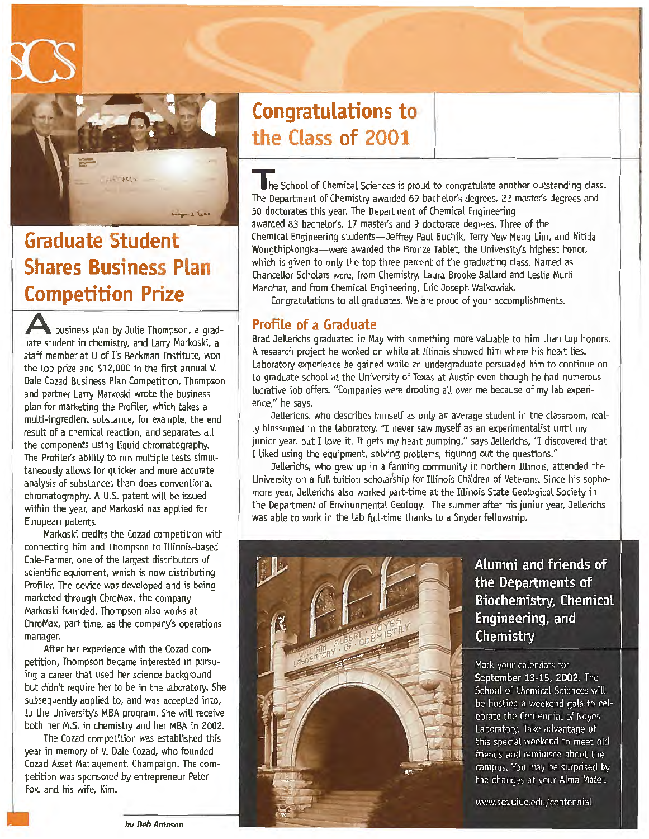

### **Graduate Student Shares Business Plan Competition Prize**

**A** business plan by Julie Thompson, a graduate student in chemistry, and Larry Markoski, a staff member at U of I's Beckman Institute, won the top prize and \$12,000 in the first annual V. Dale Cozad Business Plan Competition. Thompson and partner lany Markoski wrote the business plan for marketing the Profiler, which takes a multi-ingredient substance, for example, the end result of a chemical reaction, and separates all the components using liquid chromatography. The Profiler's ability to run multiple tests simultaneously allows for quicker and more accurate analysis of substances than does conventional chromatography. A U.S. patent will be issued within the year, and Markoski has applied for European patents.

Markoski credits the Cozad competition with connecting him and Thompson to Illinois-based Cole-Parmer, one of the largest distributors of scientific equipment, which is now distributing Profiler. The device was developed and is being marketed through ChroMax, the company Markoski founded. Thompson also works at ChroMax, part time, as the company's operations manager.

After her experience with the Cozad competition, Thompson became interested in pursuing a career that used her science background but didn't require her to be in the laboratory. She subsequently applied to, and was accepted into, to the University's MBA program. She will receive both her M.S. in chemistry and her MBA in 2002.

The Cozad competition was established this year in memory of V. Dale Cozad, who founded Cozad Asset Management, Champaign. The competition was sponsored by entrepreneur Peter Fox, and his wife, Kim.

### **Congratulations to the Class of 2001**

The School of Chemical Sciences is proud to congratulate another outstanding class. The Department of Chemistry awarded 69 bachelor's degrees, 22 master's degrees and 50 doctorates this year. The Department of Chemical Engineering awarded 83 bachelor's, 17 master's and 9 doctorate degrees. Three of the Chemical Engineering students-Jeffrey Paul Buchik, Terry Yew Meng Lim, and Nitida Wongthipkongka-were awarded the Bronze Tablet, the University's highest honor, which is given to only the top three percent of the graduating class. Named as Chancellor Scholars were, from Chemistry, Laura Brooke Ballard and Leslie Murli Manohar, and from Chemical Engineering, Eric Joseph Walkowiak.

Congratulations to all graduates. We are proud of your accomplishments.

#### **Profile of a Graduate**

Brad Jelterichs graduated in May with something more valuable to him than top honors. A research project he worked on while at Illinois showed him where his heart lies. laboratory experience be gained while an undergraduate persuaded him to continue on to graduate school at the University of Texas at Austin even though he had numerous lucrative job offers. "Companies were drooling all over me because of my lab experience," he says.

Jellerichs, who describes himself as only an average student in the classroom, really blossomed in the laboratory. "I never saw myself as an experimentalist until my junior year, but I love it. It gets my heart pumping," says Jellerichs, "I discovered that I liked using the equipment, solving problems, figuring out the questions."

Jellenchs, who grew up in a farming community in northern Illinois, attended the University on a full tuition scholarship for Illinois Children of Veterans. Since his sophomore year, Jellerichs also worked part-time at the Illinois State Geological Society in the Department of Environmental Geology. The summer after his junior year, Jellerichs was able to work in the lab full-time thanks to a Snyder fellowship.



Alumni and friends of the Departments of **Biochemistry, Chemical** Engineering, and Chemistry

Mark your calendars for September 13-15, 2002. The School of Chemical Sciences will be hosting a weekend gala to celebrate the Centennial of Noyes Laboratory. Take advantage of this special weekend to meet old friends and reminisce about the campus. You may be surprised by the changes at your Alma Mater.

www.scs.uiuc.edu/centennial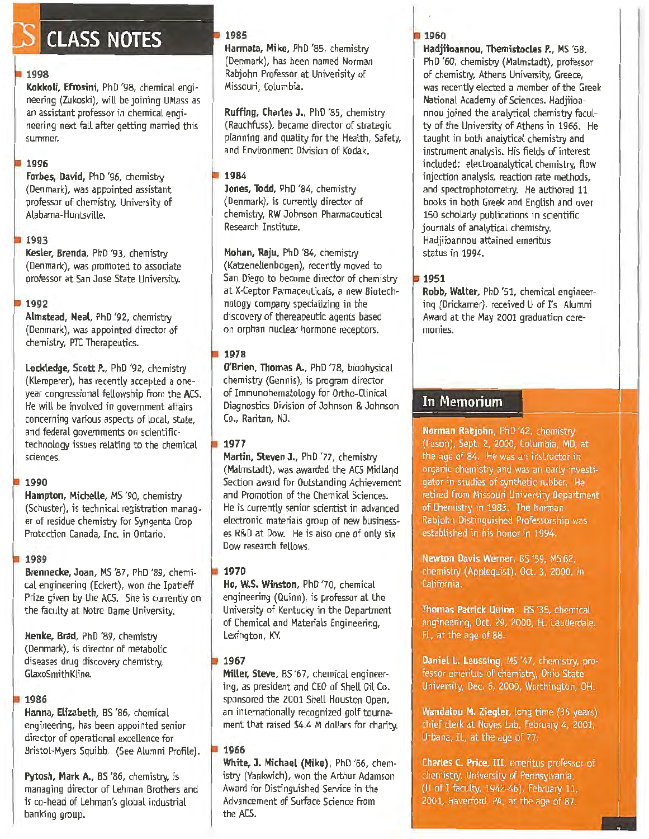# **CLASS NOTES**

#### **1998**

**Kokkoli, Efrosini,** PhD '98, chemical engineering (Zukoski}, will be joining UMass as an assistant professor in chemical engineering next fatl after getting married this summer.

#### **1996**

**Forbes, David,** PhD '96, chemistry (Denmark), was appointed assistant professor of chemistry, University of Alabama-Huntsville.

#### **1993**

Kesler, Brenda, PhD '93, chemistry (Denmark), was promoted to associate professor at San Jose State University.

#### **1992**

**Almstead, Neal, PhD '92, chemistry** (Denmark), was appointed director of chemistry, PTC Therapeutics.

Lockledge, Scott P., PhD '92, chemistry (Klemperer}, has recently accepted a oneyear congressional fellowship from the ACS. He will be involved in government affairs concerning various aspects of local, state, and federal governments on scientifictechnology issues relating to the chemical sciences.

#### **1990**

**Hampton, Michelle,** MS '90, chemistry (Schuster), is technical registration manager of residue chemistry for Syngenta Crop Protection Canada, Inc. in Ontario.

#### **1989**

**Brennecke, Joan,** MS '87, PhD '89, chemical engineering (Eckert), won the Ipatieff Prize given by the ACS. She is currently on the faculty at Notre Dame University.

**Henke, Brad,** PhD '89, chemistry (Denmark), is director of metabolic diseases drug discovery chemistry, GlaxoSmithKline.

#### **1986**

**Hanna, Elizabeth,** BS '86, chemical engineering, has been appointed senior director of operational excellence for Bristol-Myers Squibb. (See Alumni Profile).

Pytosh, Mark A., BS '86, chemistry, is managing director of Lehman Brothers and is co-head of Lehman's global industrial banking group.

#### **1985**

**Harmata, Mike,** PhD '85, chemistry (Denmark}, has been named Norman Rabjohn Professor at Univerisity of Missouri, Columbia.

**Ruffing, Charles J.,** PhD '85, chemistry (Rauchfuss), became director of strategic planning and quality for the Health, Safety, and Environment Division of Kodak.

#### **1984**

**Jones, Todd,** PhD '84, chemistry (Denmark), is currently director of chemistry, RW Johnson Pharmaceutical Research Institute.

**Mohan, Raju**, PhD '84, chemistry (Katzenellenbogen), recently moved to San Diego to become director of chemistry at X-Ceptor Parmaceuticals, a new Biotechnology company specializing in the discovery of thereapeutic agents based on orphan nuclear hormone receptors.

#### **1978**

**O'Brien, Thomas A.,** PhD '78, biophysical chemistry (Gennis), is program director of Immunohematology for Ortho-Ginical Diagnostics Division of Johnson & Johnson Co., Raritan, NJ.

#### **1977**

**Martin, Steven J.,** PhD '77, chemistry (Malmstadt), was awarded the ACS Midland Section award for Outstanding Achievement and Promotion of the Chemical Sciences. He is currently senior scientist in advanced electronic materials group of new businesses R&D at Dow. He is also one of only six Dow research fellows.

**1970** 

**Ho, W.S. Winston,** PhD '70, chemical engineering (Quinn), is professor at the University of Kentucky in the Department of Chemical and Materials Engineering, Lexington, KY.

#### **1967**

**Miller, Steve,** BS '67, chemical engineering, as president and CEO of Shell Oil Co. sponsored the 2001 Shell Houston Open, an internationally recognized golf tournament that raised \$4.4 M dollars for charity.

#### **1966**

**White, J. Michael (Mike),** PhD '66, chemistry (Yankwich), won the Arthur Adamson Award for Distinguished Service in the Advancement of Surface Science from the ACS.

#### **1960**

**Hadjiioannou, Themistocles P.,** MS '58, PhD '60, chemistry (Malmstadt), professor of chemistry, Athens University, Greece, was recently elected a member of the Greek National Academy of Sciences. Hadjiioannou joined the analytical chemistry faculty of the University of Athens in 1966. He taught in both analytical chemistry and instrument analysis. His fields of interest included: electroanalytical chemistry, flow injection analysis, reaction rate methods, and spectrophotometry. He authored 11 books in both Greek and English and over 150 scholarly publications in scientific journals of analytical chemistry. Hadjiioannou attained emeritus status in 1994.

#### **1951**

**Robb, Walter,** PhD '51, chemical engineering (Drickamer), received U of I's Alumni Award at the May 2001 graduation ceremonies.

# -- - -----· **In Memorium**

Norman Rabjohn, PhD '42, chemistry (Fuson), Sept. 2, 2000, Columbia, MO, at the age of 84. He was an instructor in organic chemistry and was an early investigator in studies of synthetic rubber. He retired from Missouri University Department of Chemistry in 1983. The Norman Rabjohn Distinguished Professorship was established in his honor in 1994.

Newton Davis Werner, BS '59, MS'62. chemistry (Applequist), Oct. 3, 2000, in California.

Thomas Patrick Quinn, BS '35, chemical engineering, Oct. 29, 2000, Ft. Lauderdale, FL, at the age of 88.

Daniel L. Leussing, MS '47, chemistry, professor emeritus of chemistry, Ohio State University, Dec. 6, 2000, Worthington, OH.

Wandalou M. Ziegler, long time (35 years) chief clerk at Noyes Lab, February 4, 2001, Urbana, IL, at the age of 77.

Charles C. Price, III, emeritus professor of chemistry, University of Pennsylvania, (U of I faculty, 1942-46), February 11, 2001, Haverford, PA, at the age of 87.